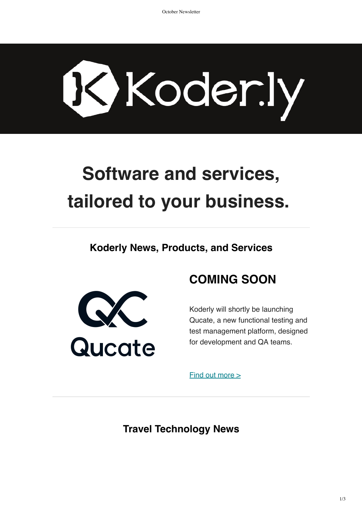# Koder.ly

# **Software and services, tailored to your business.**

**Koderly News, Products, and Services**



# **COMING SOON**

Koderly will shortly be launching Qucate, a new functional testing and test management platform, designed for development and QA teams.

 $Find out more  $>$$ 

**Travel Technology News**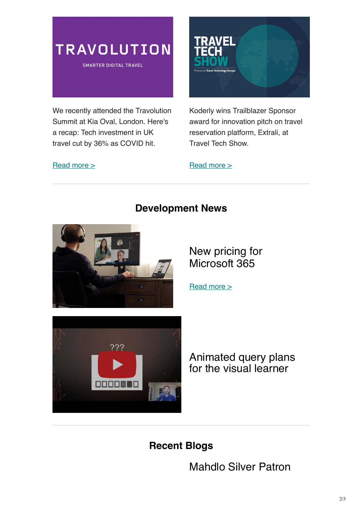

**SMARTER DIGITAL TRAVEL** 

We recently attended the Travolution Summit at Kia Oval, London. Here's a recap: Tech investment in UK travel cut by 36% as COVID hit.

#### [Read more >](https://travolution.com/news/travo-summit-2021-tech-investment-in-uk-travel-cut-by-36-as-covid-hit)



Koderly wins Trailblazer Sponsor award for innovation pitch on travel reservation platform, Extrali, at Travel Tech Show.

#### $Read more >$



### **Development News**

New pricing for Microsoft 365

[Read more >](https://www.microsoft.com/en-us/microsoft-365/blog/2021/08/19/new-pricing-for-microsoft-365/?ranMID=24542&ranEAID=nOD/rLJHOac&ranSiteID=nOD_rLJHOac-lnWB0hT.VeCDL4OjGfxycg&epi=nOD_rLJHOac-lnWB0hT.VeCDL4OjGfxycg&irgwc=1&OCID=AID2200057_aff_7593_1243925&tduid=%28ir__0j2kd3h0hwkf6nkp133xftfux32xrvyfay09zi0y00%29%287593%29%281243925%29%28nOD_rLJHOac-lnWB0hT.VeCDL4OjGfxycg%29%28%29&irclickid=_0j2kd3h0hwkf6nkp133xftfux32xrvyfay09zi0y00&wt.mc_id=AID3036296_EML_7709062)



Animated query plans for the visual learner

# **Recent Blogs**

Mahdlo Silver Patron